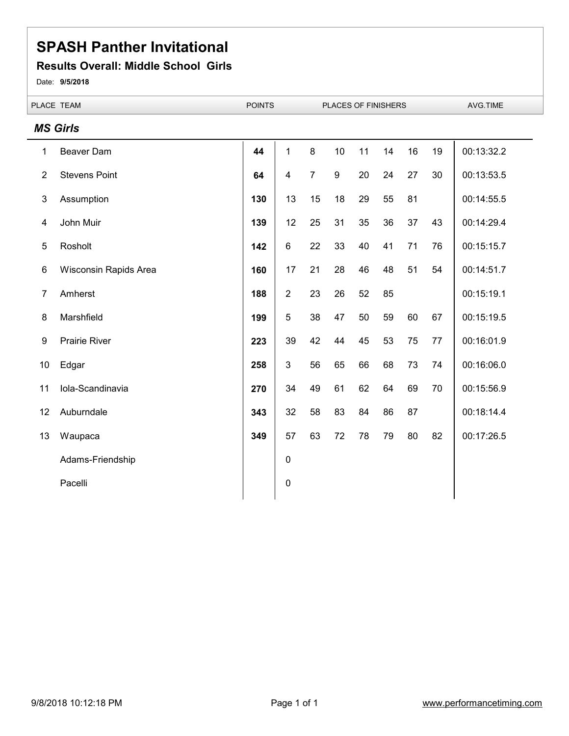#### **Results Overall: Middle School Girls**

Date: **9/5/2018**

|                | PLACE TEAM            | <b>POINTS</b> | PLACES OF FINISHERS |                |    |    |    | AVG.TIME |    |            |
|----------------|-----------------------|---------------|---------------------|----------------|----|----|----|----------|----|------------|
|                | <b>MS Girls</b>       |               |                     |                |    |    |    |          |    |            |
| 1              | <b>Beaver Dam</b>     | 44            | $\mathbf{1}$        | 8              | 10 | 11 | 14 | 16       | 19 | 00:13:32.2 |
| $\overline{2}$ | <b>Stevens Point</b>  | 64            | $\overline{4}$      | $\overline{7}$ | 9  | 20 | 24 | 27       | 30 | 00:13:53.5 |
| 3              | Assumption            | 130           | 13                  | 15             | 18 | 29 | 55 | 81       |    | 00:14:55.5 |
| 4              | John Muir             | 139           | 12                  | 25             | 31 | 35 | 36 | 37       | 43 | 00:14:29.4 |
| 5              | Rosholt               | 142           | $6\phantom{1}$      | 22             | 33 | 40 | 41 | 71       | 76 | 00:15:15.7 |
| 6              | Wisconsin Rapids Area | 160           | 17                  | 21             | 28 | 46 | 48 | 51       | 54 | 00:14:51.7 |
| $\overline{7}$ | Amherst               | 188           | $\overline{2}$      | 23             | 26 | 52 | 85 |          |    | 00:15:19.1 |
| 8              | Marshfield            | 199           | 5                   | 38             | 47 | 50 | 59 | 60       | 67 | 00:15:19.5 |
| 9              | <b>Prairie River</b>  | 223           | 39                  | 42             | 44 | 45 | 53 | 75       | 77 | 00:16:01.9 |
| 10             | Edgar                 | 258           | $\mathbf{3}$        | 56             | 65 | 66 | 68 | 73       | 74 | 00:16:06.0 |
| 11             | Iola-Scandinavia      | 270           | 34                  | 49             | 61 | 62 | 64 | 69       | 70 | 00:15:56.9 |
| 12             | Auburndale            | 343           | 32                  | 58             | 83 | 84 | 86 | 87       |    | 00:18:14.4 |
| 13             | Waupaca               | 349           | 57                  | 63             | 72 | 78 | 79 | 80       | 82 | 00:17:26.5 |
|                | Adams-Friendship      |               | $\mathbf 0$         |                |    |    |    |          |    |            |
|                | Pacelli               |               | $\pmb{0}$           |                |    |    |    |          |    |            |
|                |                       |               |                     |                |    |    |    |          |    |            |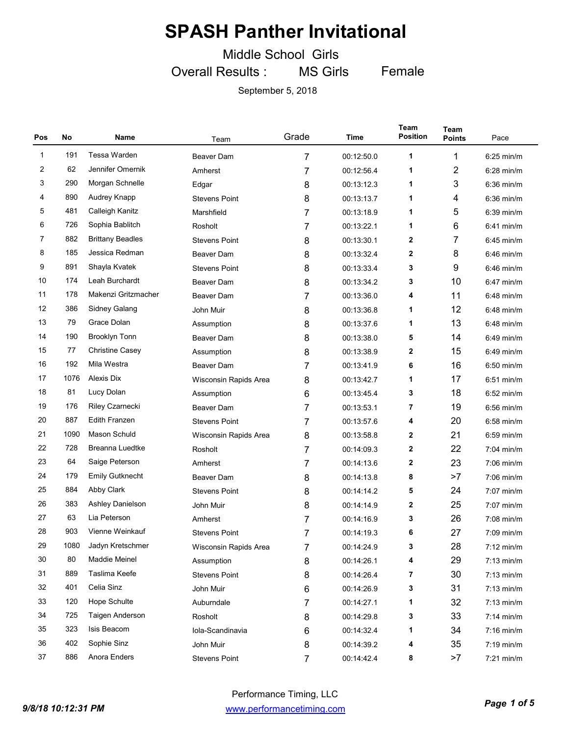Middle School Girls

Overall Results : MS Girls Female

| Pos | No   | Name                                                    | Team                  | Grade          | Time       | Team<br><b>Position</b> | <b>Team</b><br><b>Points</b> | Pace                 |
|-----|------|---------------------------------------------------------|-----------------------|----------------|------------|-------------------------|------------------------------|----------------------|
| 1   | 191  | <b>Tessa Warden</b>                                     | <b>Beaver Dam</b>     | 7              | 00:12:50.0 | 1                       | 1                            | $6:25$ min/m         |
| 2   | 62   | Jennifer Omernik                                        | Amherst               | 7              | 00:12:56.4 | 1                       | 2                            | $6:28$ min/m         |
| 3   | 290  | Morgan Schnelle                                         | Edgar                 | 8              | 00:13:12.3 | 1                       | 3                            | $6:36$ min/m         |
| 4   | 890  | Audrey Knapp                                            | <b>Stevens Point</b>  | 8              | 00:13:13.7 | 1                       | 4                            | $6:36$ min/m         |
| 5   | 481  | Calleigh Kanitz                                         | Marshfield            | 7              | 00:13:18.9 | 1                       | 5                            | $6:39$ min/m         |
| 6   | 726  | Sophia Bablitch                                         | Rosholt               | 7              | 00:13:22.1 | 1                       | 6                            | $6:41$ min/m         |
| 7   | 882  | <b>Brittany Beadles</b>                                 | <b>Stevens Point</b>  | 8              | 00:13:30.1 | 2                       | 7                            | 6:45 min/m           |
| 8   | 185  | Jessica Redman                                          | <b>Beaver Dam</b>     | 8              | 00:13:32.4 | 2                       | 8                            | $6:46$ min/m         |
| 9   | 891  | Shayla Kvatek                                           | <b>Stevens Point</b>  | 8              | 00:13:33.4 | 3                       | 9                            | 6:46 min/m           |
| 10  | 174  | Leah Burchardt                                          | Beaver Dam            | 8              | 00:13:34.2 | 3                       | 10                           | $6:47$ min/m         |
| 11  | 178  | Makenzi Gritzmacher                                     | <b>Beaver Dam</b>     | 7              | 00:13:36.0 | 4                       | 11                           | $6:48$ min/m         |
| 12  | 386  | Sidney Galang                                           | John Muir             | 8              | 00:13:36.8 | 1                       | 12                           | $6:48$ min/m         |
| 13  | 79   | Grace Dolan<br>8<br>00:13:37.6<br>Assumption            |                       | 1              | 13         | $6:48$ min/m            |                              |                      |
| 14  | 190  | <b>Brooklyn Tonn</b>                                    | Beaver Dam            | 8              | 00:13:38.0 | 5                       | 14                           | $6:49$ min/m         |
| 15  | 77   | <b>Christine Casey</b><br>8<br>00:13:38.9<br>Assumption |                       | 2              | 15         | $6:49$ min/m            |                              |                      |
| 16  | 192  | Mila Westra                                             | Beaver Dam            | 7              | 00:13:41.9 | 6                       | 16                           | $6:50$ min/m         |
| 17  | 1076 | Alexis Dix<br>8<br>00:13:42.7<br>Wisconsin Rapids Area  |                       | 1              | 17         | $6:51$ min/m            |                              |                      |
| 18  | 81   | Lucy Dolan<br>00:13:45.4<br>6<br>Assumption             |                       | 3              | 18         | $6:52$ min/m            |                              |                      |
| 19  | 176  | <b>Riley Czarnecki</b>                                  | <b>Beaver Dam</b>     | 7              | 00:13:53.1 | 7                       | 19                           | 6:56 min/m           |
| 20  | 887  | <b>Edith Franzen</b>                                    | <b>Stevens Point</b>  | 7              | 00:13:57.6 | 4                       | 20                           | $6:58$ min/m         |
| 21  | 1090 | Mason Schuld                                            | Wisconsin Rapids Area | 8              | 00:13:58.8 | 2                       | 21                           | $6:59$ min/m         |
| 22  | 728  | <b>Breanna Luedtke</b>                                  | Rosholt               | 7              | 00:14:09.3 | $\mathbf{2}$            | 22                           | $7:04$ min/m         |
| 23  | 64   | Saige Peterson                                          | Amherst               | 7              | 00:14:13.6 | 2                       | 23                           | 7:06 min/m           |
| 24  | 179  | <b>Emily Gutknecht</b>                                  | <b>Beaver Dam</b>     | 8              | 00:14:13.8 | 8                       | >7                           | 7:06 min/m           |
| 25  | 884  | Abby Clark                                              | <b>Stevens Point</b>  | 8              | 00:14:14.2 | 5                       | 24                           | $7:07$ min/m         |
| 26  | 383  | Ashley Danielson                                        | John Muir             | 8              | 00:14:14.9 | 2                       | 25                           | 7:07 min/m           |
| 27  | 63   | Lia Peterson                                            | Amherst               | 7              | 00:14:16.9 | 3                       | 26                           | 7:08 min/m           |
| 28  | 903  | Vienne Weinkauf                                         | <b>Stevens Point</b>  | 7              | 00:14:19.3 | 6                       | 27                           | $7:09$ min/m         |
| 29  | 1080 | Jadyn Kretschmer                                        | Wisconsin Rapids Area | 7              | 00:14:24.9 | 3                       | 28                           | $7:12 \text{ min/m}$ |
| 30  | 80   | Maddie Meinel                                           | Assumption            | 8              | 00:14:26.1 | 4                       | 29                           | $7:13$ min/m         |
| 31  | 889  | Taslima Keefe                                           | <b>Stevens Point</b>  | 8              | 00:14:26.4 | 7                       | 30                           | $7:13$ min/m         |
| 32  | 401  | Celia Sinz                                              | John Muir             | 6              | 00:14:26.9 | 3                       | 31                           | $7:13$ min/m         |
| 33  | 120  | Hope Schulte                                            | Auburndale            | 7              | 00:14:27.1 | 1                       | 32                           | $7:13$ min/m         |
| 34  | 725  | Taigen Anderson                                         | Rosholt               | 8              | 00:14:29.8 | 3                       | 33                           | $7:14$ min/m         |
| 35  | 323  | Isis Beacom                                             | Iola-Scandinavia      | 6              | 00:14:32.4 | 1                       | 34                           | $7:16$ min/m         |
| 36  | 402  | Sophie Sinz                                             | John Muir             | 8              | 00:14:39.2 | 4                       | 35                           | 7:19 min/m           |
| 37  | 886  | Anora Enders                                            | <b>Stevens Point</b>  | $\overline{7}$ | 00:14:42.4 | 8                       | >7                           | 7:21 min/m           |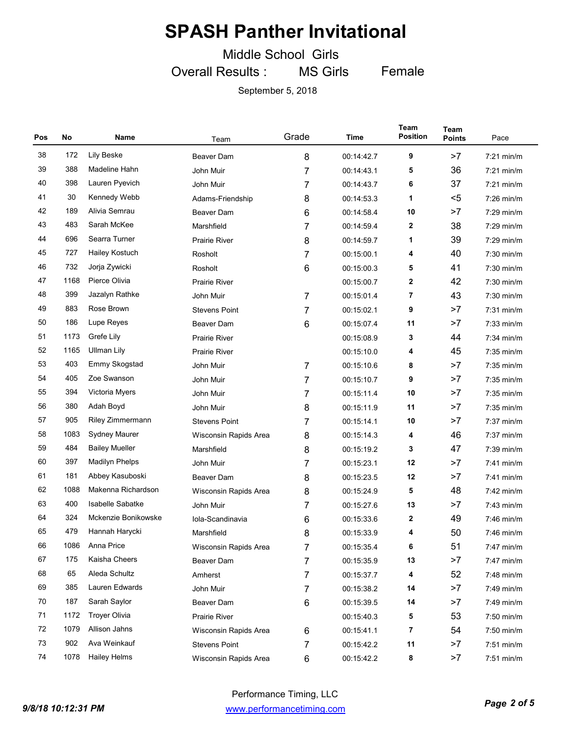Middle School Girls

Overall Results : MS Girls Female

| Pos | No   | Name                  | Team                  | Grade | Time       | Team<br><b>Position</b> | <b>Team</b><br><b>Points</b> | Pace         |
|-----|------|-----------------------|-----------------------|-------|------------|-------------------------|------------------------------|--------------|
| 38  | 172  | <b>Lily Beske</b>     | <b>Beaver Dam</b>     | 8     | 00:14:42.7 | 9                       | >7                           | $7:21$ min/m |
| 39  | 388  | Madeline Hahn         | John Muir             | 7     | 00:14:43.1 | 5                       | 36                           | $7:21$ min/m |
| 40  | 398  | Lauren Pyevich        | John Muir             | 7     | 00:14:43.7 | 6                       | 37                           | $7:21$ min/m |
| 41  | 30   | Kennedy Webb          | Adams-Friendship      | 8     | 00:14:53.3 | 1                       | $5$                          | $7:26$ min/m |
| 42  | 189  | Alivia Semrau         | Beaver Dam            | 6     | 00:14:58.4 | 10                      | >7                           | 7:29 min/m   |
| 43  | 483  | Sarah McKee           | Marshfield            | 7     | 00:14:59.4 |                         | 38                           | 7:29 min/m   |
| 44  | 696  | Searra Turner         | <b>Prairie River</b>  | 8     | 00:14:59.7 |                         | 39                           | $7:29$ min/m |
| 45  | 727  | Hailey Kostuch        | Rosholt               | 7     | 00:15:00.1 | 4                       | 40                           | 7:30 min/m   |
| 46  | 732  | Jorja Zywicki         | Rosholt               | 6     | 00:15:00.3 | 5                       | 41                           | 7:30 min/m   |
| 47  | 1168 | Pierce Olivia         | <b>Prairie River</b>  |       | 00:15:00.7 | $\mathbf{2}$            | 42                           | $7:30$ min/m |
| 48  | 399  | Jazalyn Rathke        | John Muir             | 7     | 00:15:01.4 | 7                       | 43                           | 7:30 min/m   |
| 49  | 883  | Rose Brown            | <b>Stevens Point</b>  | 7     | 00:15:02.1 | 9                       | >7                           | $7:31$ min/m |
| 50  | 186  | Lupe Reyes            | Beaver Dam            | 6     | 00:15:07.4 | 11                      | >7                           | $7:33$ min/m |
| 51  | 1173 | Grefe Lily            | <b>Prairie River</b>  |       | 00:15:08.9 | 3                       | 44                           | $7:34$ min/m |
| 52  | 1165 | Ullman Lily           | Prairie River         |       | 00:15:10.0 | 4                       | 45                           | 7:35 min/m   |
| 53  | 403  | Emmy Skogstad         | John Muir             | 7     | 00:15:10.6 | 8                       | >7                           | $7:35$ min/m |
| 54  | 405  | Zoe Swanson           | John Muir             | 7     | 00:15:10.7 | 9                       | >7                           | 7:35 min/m   |
| 55  | 394  | Victoria Myers        | John Muir             | 7     | 00:15:11.4 | 10                      | >7                           | $7:35$ min/m |
| 56  | 380  | Adah Boyd             | John Muir             | 8     | 00:15:11.9 | 11                      | >7                           | 7:35 min/m   |
| 57  | 905  | Riley Zimmermann      | <b>Stevens Point</b>  | 7     | 00:15:14.1 | 10                      | >7                           | $7:37$ min/m |
| 58  | 1083 | <b>Sydney Maurer</b>  | Wisconsin Rapids Area | 8     | 00:15:14.3 | 4                       | 46                           | 7:37 min/m   |
| 59  | 484  | <b>Bailey Mueller</b> | Marshfield            | 8     | 00:15:19.2 | 3                       | 47                           | $7:39$ min/m |
| 60  | 397  | <b>Madilyn Phelps</b> | John Muir             | 7     | 00:15:23.1 | 12                      | >7                           | 7:41 min/m   |
| 61  | 181  | Abbey Kasuboski       | Beaver Dam            | 8     | 00:15:23.5 | 12                      | >7                           | $7:41$ min/m |
| 62  | 1088 | Makenna Richardson    | Wisconsin Rapids Area | 8     | 00:15:24.9 | 5                       | 48                           | $7:42$ min/m |
| 63  | 400  | Isabelle Sabatke      | John Muir             | 7     | 00:15:27.6 | 13                      | >7                           | $7:43$ min/m |
| 64  | 324  | Mckenzie Bonikowske   | Iola-Scandinavia      | 6     | 00:15:33.6 | 2                       | 49                           | 7:46 min/m   |
| 65  | 479  | Hannah Harycki        | Marshfield            | 8     | 00:15:33.9 | 4                       | 50                           | 7:46 min/m   |
| 66  | 1086 | Anna Price            | Wisconsin Rapids Area | 7     | 00:15:35.4 | 6                       | 51                           | 7:47 min/m   |
| 67  | 175  | Kaisha Cheers         | Beaver Dam            | 7     | 00:15:35.9 | 13                      | >7                           | 7:47 min/m   |
| 68  | 65   | Aleda Schultz         | Amherst               | 7     | 00:15:37.7 | 4                       | 52                           | 7:48 min/m   |
| 69  | 385  | Lauren Edwards        | John Muir             | 7     | 00:15:38.2 |                         | >7                           | 7:49 min/m   |
| 70  | 187  | Sarah Saylor          | Beaver Dam            | 6     | 00:15:39.5 | 14                      | >7                           | 7:49 min/m   |
| 71  | 1172 | <b>Troyer Olivia</b>  | Prairie River         |       | 00:15:40.3 | 5                       | 53                           | 7:50 min/m   |
| 72  | 1079 | Allison Jahns         | Wisconsin Rapids Area | 6     | 00:15:41.1 | 7                       | 54                           | 7:50 min/m   |
| 73  | 902  | Ava Weinkauf          | <b>Stevens Point</b>  | 7     | 00:15:42.2 | 11                      | >7                           | $7:51$ min/m |
| 74  | 1078 | <b>Hailey Helms</b>   | Wisconsin Rapids Area | 6     | 00:15:42.2 | 8                       | >7                           | 7:51 min/m   |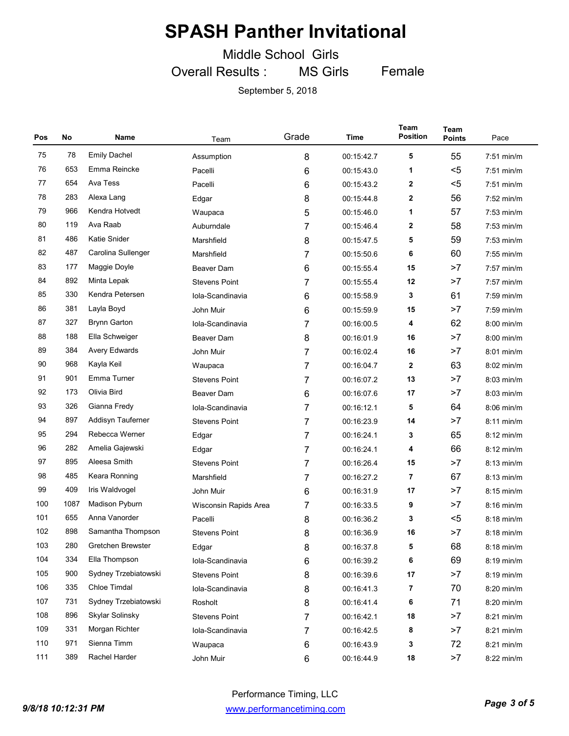Middle School Girls

Overall Results : MS Girls

Female

| Pos | <b>No</b> | Name                                                 | Team                  | Grade           | Time       | Team<br><b>Position</b> | Team<br><b>Points</b> | Pace         |
|-----|-----------|------------------------------------------------------|-----------------------|-----------------|------------|-------------------------|-----------------------|--------------|
| 75  | 78        | <b>Emily Dachel</b>                                  | Assumption            | 8               | 00:15:42.7 | 5                       | 55                    | $7:51$ min/m |
| 76  | 653       | Emma Reincke                                         | Pacelli               | 6               | 00:15:43.0 | 1                       | $5$                   | $7:51$ min/m |
| 77  | 654       | Ava Tess                                             | Pacelli               | 6               | 00:15:43.2 | $\mathbf{2}$            | $5$                   | $7:51$ min/m |
| 78  | 283       | Alexa Lang                                           | Edgar                 | 8               | 00:15:44.8 | $\mathbf{2}$            | 56                    | $7:52$ min/m |
| 79  | 966       | Kendra Hotvedt                                       | Waupaca               | 5               | 00:15:46.0 | 1                       | 57                    | $7:53$ min/m |
| 80  | 119       | Ava Raab                                             | Auburndale            | 7               | 00:15:46.4 | $\mathbf{2}$            | 58                    | $7:53$ min/m |
| 81  | 486       | Katie Snider                                         | Marshfield            | 8               | 00:15:47.5 | 5                       | 59                    | $7:53$ min/m |
| 82  | 487       | Carolina Sullenger                                   | Marshfield            | 7               | 00:15:50.6 | 6                       | 60                    | $7:55$ min/m |
| 83  | 177       | Maggie Doyle                                         | <b>Beaver Dam</b>     | 6               | 00:15:55.4 | 15                      | >7                    | 7:57 min/m   |
| 84  | 892       | Minta Lepak                                          | <b>Stevens Point</b>  | 7               | 00:15:55.4 | 12                      | >7                    | $7:57$ min/m |
| 85  | 330       | Kendra Petersen                                      | Iola-Scandinavia      | 6               | 00:15:58.9 | 3                       | 61                    | $7:59$ min/m |
| 86  | 381       | Layla Boyd                                           | John Muir             | 6               | 00:15:59.9 | 15                      | >7                    | 7:59 min/m   |
| 87  | 327       | <b>Brynn Garton</b>                                  | Iola-Scandinavia      | 7               | 00:16:00.5 | 4                       | 62                    | 8:00 min/m   |
| 88  | 188       | Ella Schweiger                                       | Beaver Dam            | 8               | 00:16:01.9 | 16                      | >7                    | $8:00$ min/m |
| 89  | 384       | <b>Avery Edwards</b><br>John Muir<br>7<br>00:16:02.4 |                       | 16              | >7         | $8:01$ min/m            |                       |              |
| 90  | 968       | Kayla Keil<br>7<br>00:16:04.7<br>Waupaca             |                       | $\mathbf{2}$    | 63         | $8:02$ min/m            |                       |              |
| 91  | 901       | Emma Turner                                          | <b>Stevens Point</b>  | 7               | 00:16:07.2 | 13                      | >7                    | $8:03$ min/m |
| 92  | 173       | Olivia Bird                                          | <b>Beaver Dam</b>     | 6               | 00:16:07.6 | 17                      | >7                    | $8:03$ min/m |
| 93  | 326       | Gianna Fredy                                         | Iola-Scandinavia      | 7               | 00:16:12.1 | 5                       | 64                    | $8:06$ min/m |
| 94  | 897       | Addisyn Tauferner                                    | <b>Stevens Point</b>  | 7               | 00:16:23.9 | 14                      | >7                    | $8:11$ min/m |
| 95  | 294       | Rebecca Werner                                       | Edgar                 | 7               | 00:16:24.1 | 3                       | 65                    | $8:12$ min/m |
| 96  | 282       | Amelia Gajewski                                      | Edgar                 | 7               | 00:16:24.1 | 4                       | 66                    | $8:12$ min/m |
| 97  | 895       | Aleesa Smith                                         | <b>Stevens Point</b>  | 7               | 00:16:26.4 | 15                      | >7                    | $8:13$ min/m |
| 98  | 485       | Keara Ronning                                        | Marshfield            | 7               | 00:16:27.2 | 7                       | 67                    | $8:13$ min/m |
| 99  | 409       | Iris Waldvogel                                       | John Muir             | 6               | 00:16:31.9 | 17                      | >7                    | $8:15$ min/m |
| 100 | 1087      | Madison Pyburn                                       | Wisconsin Rapids Area | 7               | 00:16:33.5 | 9                       | >7                    | $8:16$ min/m |
| 101 | 655       | Anna Vanorder                                        | Pacelli               | 8               | 00:16:36.2 | 3                       | $5$                   | $8:18$ min/m |
| 102 | 898       | Samantha Thompson                                    | <b>Stevens Point</b>  | 8               | 00:16:36.9 | 16                      | >7                    | 8:18 min/m   |
| 103 | 280       | Gretchen Brewster                                    | Edgar                 | 8               | 00:16:37.8 | 5                       | 68                    | 8:18 min/m   |
| 104 | 334       | Ella Thompson                                        | Iola-Scandinavia      | 6               | 00:16:39.2 | 6                       | 69                    | 8:19 min/m   |
| 105 | 900       | Sydney Trzebiatowski                                 | <b>Stevens Point</b>  | 8<br>00:16:39.6 |            | 17                      | >7                    | 8:19 min/m   |
| 106 | 335       | Chloe Timdal                                         | Iola-Scandinavia      | 8               | 00:16:41.3 | 7                       | 70                    | 8:20 min/m   |
| 107 | 731       | Sydney Trzebiatowski                                 | Rosholt               | 8               | 00:16:41.4 | 6                       | 71                    | 8:20 min/m   |
| 108 | 896       | Skylar Solinsky                                      | <b>Stevens Point</b>  | 7               | 00:16:42.1 | 18                      | >7                    | 8:21 min/m   |
| 109 | 331       | Morgan Richter                                       | Iola-Scandinavia      | 7               | 00:16:42.5 | 8                       | >7                    | 8:21 min/m   |
| 110 | 971       | Sienna Timm                                          | Waupaca               | 6               | 00:16:43.9 | 3                       | 72                    | 8:21 min/m   |
| 111 | 389       | Rachel Harder                                        | John Muir             | 6               | 00:16:44.9 | 18                      | >7                    | 8:22 min/m   |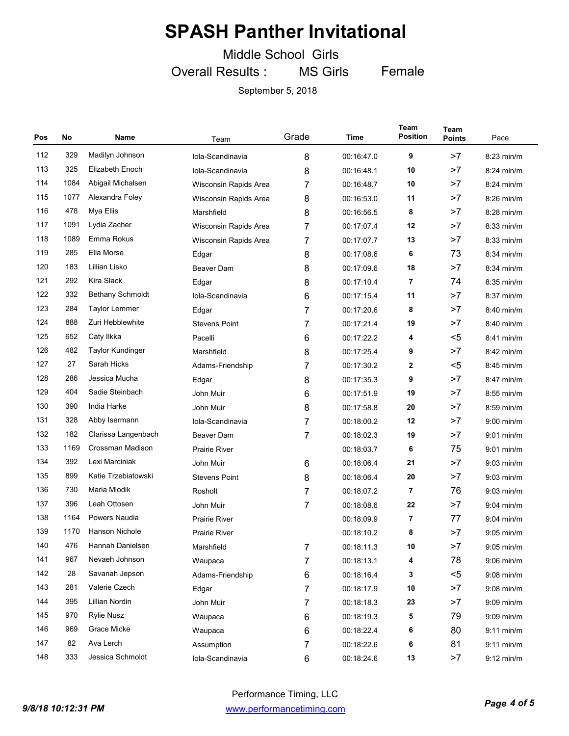Middle School Girls

Overall Results : MS Girls Female

| Pos | No   | Name                                      | Team                                | Grade | Time       | Team<br><b>Position</b> | <b>Team</b><br><b>Points</b> | Pace         |
|-----|------|-------------------------------------------|-------------------------------------|-------|------------|-------------------------|------------------------------|--------------|
| 112 | 329  | Madilyn Johnson                           | Iola-Scandinavia                    | 8     | 00:16:47.0 | 9                       | >7                           | 8:23 min/m   |
| 113 | 325  | Elizabeth Enoch                           | Iola-Scandinavia                    | 8     | 00:16:48.1 | 10                      | >7                           | $8:24$ min/m |
| 114 | 1084 | Abigail Michalsen                         | Wisconsin Rapids Area               | 7     | 00:16:48.7 | 10                      | >7                           | $8:24$ min/m |
| 115 | 1077 | Alexandra Foley                           | Wisconsin Rapids Area               | 8     | 00:16:53.0 | 11                      | >7                           | $8:26$ min/m |
| 116 | 478  | Mya Ellis                                 | Marshfield                          | 8     | 00:16:56.5 | 8                       | >7                           | $8:28$ min/m |
| 117 | 1091 | Lydia Zacher                              | Wisconsin Rapids Area               | 7     | 00:17:07.4 | 12                      | >7                           | $8:33$ min/m |
| 118 | 1089 | Emma Rokus                                | Wisconsin Rapids Area               | 7     | 00:17:07.7 | 13                      | >7                           | $8:33$ min/m |
| 119 | 285  | Ella Morse                                | Edgar                               | 8     | 00:17:08.6 | 6                       | 73                           | $8:34$ min/m |
| 120 | 183  | Lillian Lisko                             | Beaver Dam                          | 8     | 00:17:09.6 | 18                      | >7                           | 8:34 min/m   |
| 121 | 292  | Kira Slack                                | Edgar                               | 8     | 00:17:10.4 | 7                       | 74                           | $8:35$ min/m |
| 122 | 332  | <b>Bethany Schmoldt</b>                   | Iola-Scandinavia                    | 6     | 00:17:15.4 | 11                      | >7                           | 8:37 min/m   |
| 123 | 284  | <b>Taylor Lemmer</b>                      | Edgar                               | 7     | 00:17:20.6 | 8                       | >7                           | 8:40 min/m   |
| 124 | 888  | Zuri Hebblewhite                          | <b>Stevens Point</b>                | 7     | 00:17:21.4 | 19                      | >7                           | 8:40 min/m   |
| 125 | 652  | Caty Ilkka                                | Pacelli                             | 6     | 00:17:22.2 | 4                       | $5$                          | $8:41$ min/m |
| 126 | 482  | <b>Taylor Kundinger</b>                   | 00:17:25.4<br>Marshfield<br>8       |       | 9          | >7                      | $8:42$ min/m                 |              |
| 127 | 27   | Sarah Hicks                               | 7<br>00:17:30.2<br>Adams-Friendship |       | 2          | $5$                     | $8:45$ min/m                 |              |
| 128 | 286  | Jessica Mucha<br>8<br>00:17:35.3<br>Edgar |                                     | 9     | >7         | $8:47$ min/m            |                              |              |
| 129 | 404  | Sadie Steinbach                           | John Muir                           | 6     | 00:17:51.9 | 19                      | >7                           | $8:55$ min/m |
| 130 | 390  | India Harke                               | John Muir                           | 8     | 00:17:58.8 | 20                      | >7                           | $8:59$ min/m |
| 131 | 328  | Abby Isermann                             | Iola-Scandinavia                    | 7     | 00:18:00.2 | 12                      | >7                           | $9:00$ min/m |
| 132 | 182  | Clarissa Langenbach                       | Beaver Dam                          | 7     | 00:18:02.3 | 19                      | >7                           | $9:01$ min/m |
| 133 | 1169 | Crossman Madison                          | <b>Prairie River</b>                |       | 00:18:03.7 | 6                       | 75                           | $9:01$ min/m |
| 134 | 392  | Lexi Marciniak                            | John Muir                           | 6     | 00:18:06.4 | 21                      | >7                           | 9:03 min/m   |
| 135 | 899  | Katie Trzebiatowski                       | <b>Stevens Point</b>                | 8     | 00:18:06.4 | 20                      | >7                           | $9:03$ min/m |
| 136 | 730  | Maria Mlodik                              | Rosholt                             | 7     | 00:18:07.2 | 7                       | 76                           | $9:03$ min/m |
| 137 | 396  | Leah Ottosen                              | John Muir                           | 7     | 00:18:08.6 | 22                      | >7                           | $9:04$ min/m |
| 138 | 1164 | Powers Naudia                             | <b>Prairie River</b>                |       | 00:18:09.9 | 7                       | 77                           | $9:04$ min/m |
| 139 | 1170 | Hanson Nichole                            | <b>Prairie River</b>                |       | 00:18:10.2 | 8                       | >7                           | $9:05$ min/m |
| 140 | 476  | Hannah Danielsen                          | Marshfield                          | 7     | 00:18:11.3 | 10                      | >7                           | 9:05 min/m   |
| 141 | 967  | Nevaeh Johnson                            | Waupaca                             | 7     | 00:18:13.1 | 4                       | 78                           | $9:06$ min/m |
| 142 | 28   | Savanah Jepson                            | Adams-Friendship                    | 6     | 00:18:16.4 | 3                       | $5$                          | $9:08$ min/m |
| 143 | 281  | Valerie Czech                             | Edgar                               | 7     | 00:18:17.9 |                         | >7                           | $9:08$ min/m |
| 144 | 395  | Lillian Nordin                            | John Muir                           | 7     | 00:18:18.3 | 23                      | >7                           | $9:09$ min/m |
| 145 | 970  | <b>Rylie Nusz</b>                         | Waupaca                             | 6     | 00:18:19.3 | 5                       | 79                           | $9:09$ min/m |
| 146 | 969  | Grace Micke                               | Waupaca                             | 6     | 00:18:22.4 | 6                       | 80                           | $9:11$ min/m |
| 147 | 82   | Ava Lerch                                 | Assumption                          | 7     | 00:18:22.6 | 6                       | 81                           | $9:11$ min/m |
| 148 | 333  | Jessica Schmoldt                          | Iola-Scandinavia                    | 6     | 00:18:24.6 | 13                      | >7                           | $9:12$ min/m |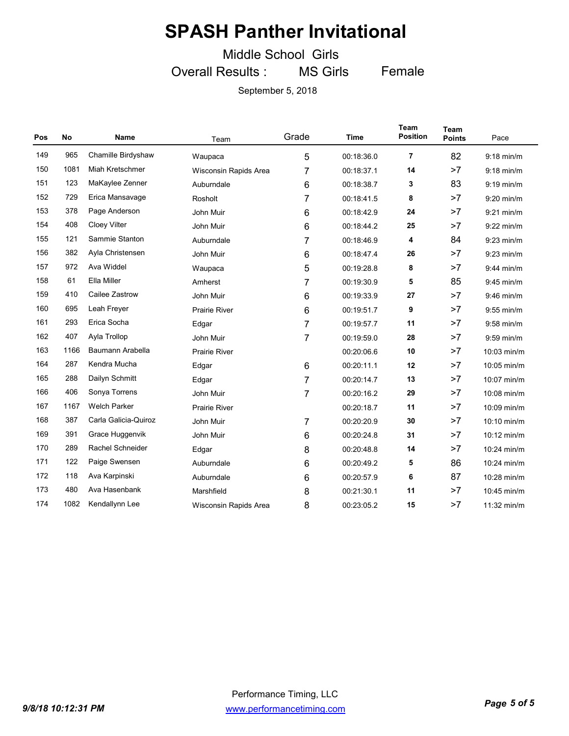Middle School Girls

Overall Results : MS Girls Female

| Pos | <b>No</b> | <b>Name</b>             | Team                                                 | Grade | <b>Time</b> | <b>Team</b><br><b>Position</b> | <b>Team</b><br><b>Points</b> | Pace         |
|-----|-----------|-------------------------|------------------------------------------------------|-------|-------------|--------------------------------|------------------------------|--------------|
| 149 | 965       | Chamille Birdyshaw      | Waupaca                                              | 5     | 00:18:36.0  | $\overline{7}$                 | 82                           | $9:18$ min/m |
| 150 | 1081      | Miah Kretschmer         | Wisconsin Rapids Area                                | 7     | 00:18:37.1  | 14                             | >7                           | $9:18$ min/m |
| 151 | 123       | MaKaylee Zenner         | Auburndale                                           | 6     | 00:18:38.7  | 3                              | 83                           | $9:19$ min/m |
| 152 | 729       | Erica Mansavage         | Rosholt                                              | 7     | 00:18:41.5  | 8                              | >7                           | $9:20$ min/m |
| 153 | 378       | Page Anderson           | John Muir                                            | 6     | 00:18:42.9  | 24                             | >7                           | $9:21$ min/m |
| 154 | 408       | Cloey Vilter            | John Muir                                            | 6     | 00:18:44.2  | 25                             | >7                           | $9:22$ min/m |
| 155 | 121       | Sammie Stanton          | Auburndale                                           | 7     | 00:18:46.9  | 4                              | 84                           | $9:23$ min/m |
| 156 | 382       | Ayla Christensen        | John Muir                                            | 6     | 00:18:47.4  | 26                             | >7                           | $9:23$ min/m |
| 157 | 972       | Ava Widdel              | Waupaca                                              | 5     | 00:19:28.8  | 8                              | >7                           | $9:44$ min/m |
| 158 | 61        | Ella Miller             | Amherst                                              | 7     | 00:19:30.9  | 5                              | 85                           | 9:45 min/m   |
| 159 | 410       | Cailee Zastrow          | John Muir<br>00:19:33.9<br>6                         |       | 27          | >7                             | 9:46 min/m                   |              |
| 160 | 695       | Leah Freyer             | <b>Prairie River</b><br>$6\phantom{1}$<br>00:19:51.7 |       | 9           | >7                             | $9:55$ min/m                 |              |
| 161 | 293       | Erica Socha             | Edgar                                                | 7     | 00:19:57.7  | 11                             | >7                           | $9:58$ min/m |
| 162 | 407       | Ayla Trollop            | John Muir                                            | 7     | 00:19:59.0  | 28                             | >7                           | $9:59$ min/m |
| 163 | 1166      | Baumann Arabella        | <b>Prairie River</b>                                 |       | 00:20:06.6  | 10                             | >7                           | 10:03 min/m  |
| 164 | 287       | Kendra Mucha            | Edgar                                                | 6     | 00:20:11.1  | 12                             | >7                           | 10:05 min/m  |
| 165 | 288       | Dailyn Schmitt          | Edgar                                                | 7     | 00:20:14.7  | 13                             | >7                           | 10:07 min/m  |
| 166 | 406       | Sonya Torrens           | John Muir                                            | 7     | 00:20:16.2  | 29                             | >7                           | 10:08 min/m  |
| 167 | 1167      | <b>Welch Parker</b>     | <b>Prairie River</b>                                 |       | 00:20:18.7  | 11                             | >7                           | 10:09 min/m  |
| 168 | 387       | Carla Galicia-Quiroz    | John Muir                                            | 7     | 00:20:20.9  | 30                             | >7                           | 10:10 min/m  |
| 169 | 391       | Grace Huggenvik         | John Muir                                            | 6     | 00:20:24.8  | 31                             | >7                           | 10:12 min/m  |
| 170 | 289       | <b>Rachel Schneider</b> | Edgar                                                | 8     | 00:20:48.8  | 14                             | >7                           | 10:24 min/m  |
| 171 | 122       | Paige Swensen           | Auburndale                                           | 6     | 00:20:49.2  | 5                              | 86                           | 10:24 min/m  |
| 172 | 118       | Ava Karpinski           | Auburndale                                           | 6     | 00:20:57.9  | 6                              | 87                           | 10:28 min/m  |
| 173 | 480       | Ava Hasenbank           | Marshfield                                           | 8     | 00:21:30.1  | 11                             | >7                           | 10:45 min/m  |
| 174 | 1082      | Kendallynn Lee          | Wisconsin Rapids Area                                | 8     | 00:23:05.2  | 15                             | >7                           | 11:32 min/m  |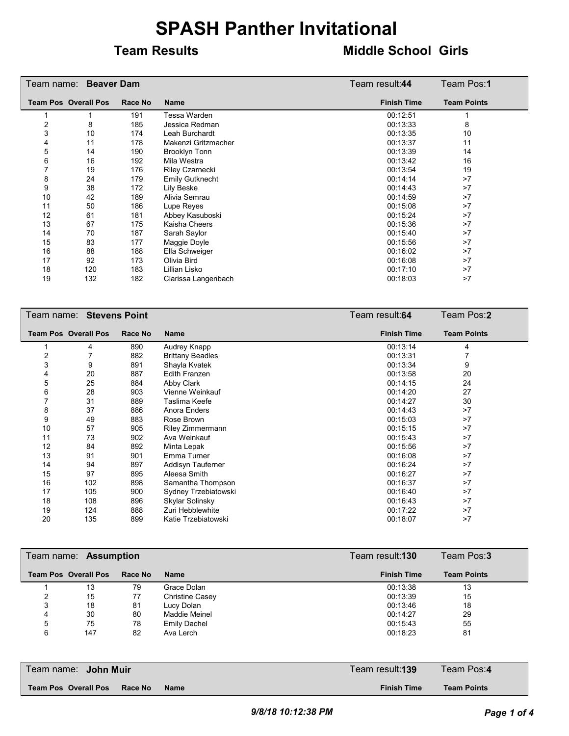#### **Team Results Middle School Girls**

|    | Team name: Beaver Dam       |         | Team result:44         | Team Pos: <b>1</b> |                    |
|----|-----------------------------|---------|------------------------|--------------------|--------------------|
|    | <b>Team Pos Overall Pos</b> | Race No | <b>Name</b>            | <b>Finish Time</b> | <b>Team Points</b> |
|    |                             | 191     | Tessa Warden           | 00:12:51           |                    |
| 2  | 8                           | 185     | Jessica Redman         | 00:13:33           | 8                  |
| 3  | 10                          | 174     | Leah Burchardt         | 00:13:35           | 10                 |
| 4  | 11                          | 178     | Makenzi Gritzmacher    | 00:13:37           | 11                 |
| 5  | 14                          | 190     | <b>Brooklyn Tonn</b>   | 00:13:39           | 14                 |
| 6  | 16                          | 192     | Mila Westra            | 00:13:42           | 16                 |
|    | 19                          | 176     | Riley Czarnecki        | 00:13:54           | 19                 |
| 8  | 24                          | 179     | <b>Emily Gutknecht</b> | 00:14:14           | >7                 |
| 9  | 38                          | 172     | Lily Beske             | 00:14:43           | >7                 |
| 10 | 42                          | 189     | Alivia Semrau          | 00:14:59           | >7                 |
| 11 | 50                          | 186     | Lupe Reyes             | 00:15:08           | >7                 |
| 12 | 61                          | 181     | Abbey Kasuboski        | 00:15:24           | >7                 |
| 13 | 67                          | 175     | Kaisha Cheers          | 00:15:36           | >7                 |
| 14 | 70                          | 187     | Sarah Saylor           | 00:15:40           | >7                 |
| 15 | 83                          | 177     | Maggie Doyle           | 00:15:56           | >7                 |
| 16 | 88                          | 188     | Ella Schweiger         | 00:16:02           | >7                 |
| 17 | 92                          | 173     | Olivia Bird            | 00:16:08           | >7                 |
| 18 | 120                         | 183     | Lillian Lisko          | 00:17:10           | >7                 |
| 19 | 132                         | 182     | Clarissa Langenbach    | 00:18:03           | >7                 |

|    | Team name: Stevens Point    |         |                         | Team result:64     | Team Pos:2         |
|----|-----------------------------|---------|-------------------------|--------------------|--------------------|
|    | <b>Team Pos Overall Pos</b> | Race No | <b>Name</b>             | <b>Finish Time</b> | <b>Team Points</b> |
|    | 4                           | 890     | Audrey Knapp            | 00:13:14           | 4                  |
| 2  |                             | 882     | <b>Brittany Beadles</b> | 00:13:31           |                    |
| 3  | 9                           | 891     | Shayla Kvatek           | 00:13:34           | 9                  |
| 4  | 20                          | 887     | <b>Edith Franzen</b>    | 00:13:58           | 20                 |
| 5  | 25                          | 884     | Abby Clark              | 00:14:15           | 24                 |
| 6  | 28                          | 903     | Vienne Weinkauf         | 00:14:20           | 27                 |
|    | 31                          | 889     | Taslima Keefe           | 00:14:27           | 30                 |
| 8  | 37                          | 886     | Anora Enders            | 00:14:43           | >7                 |
| 9  | 49                          | 883     | Rose Brown              | 00:15:03           | >7                 |
| 10 | 57                          | 905     | <b>Riley Zimmermann</b> | 00:15:15           | >7                 |
| 11 | 73                          | 902     | Ava Weinkauf            | 00:15:43           | >7                 |
| 12 | 84                          | 892     | Minta Lepak             | 00:15:56           | >7                 |
| 13 | 91                          | 901     | Emma Turner             | 00:16:08           | >7                 |
| 14 | 94                          | 897     | Addisyn Tauferner       | 00:16:24           | >7                 |
| 15 | 97                          | 895     | Aleesa Smith            | 00:16:27           | >7                 |
| 16 | 102                         | 898     | Samantha Thompson       | 00:16:37           | >7                 |
| 17 | 105                         | 900     | Sydney Trzebiatowski    | 00:16:40           | >7                 |
| 18 | 108                         | 896     | Skylar Solinsky         | 00:16:43           | >7                 |
| 19 | 124                         | 888     | Zuri Hebblewhite        | 00:17:22           | >7                 |
| 20 | 135                         | 899     | Katie Trzebiatowski     | 00:18:07           | >7                 |

|   | Team name: <b>Assumption</b> |         |                        | Team result:130    | Team Pos:3         |
|---|------------------------------|---------|------------------------|--------------------|--------------------|
|   | <b>Team Pos Overall Pos</b>  | Race No | <b>Name</b>            | <b>Finish Time</b> | <b>Team Points</b> |
|   | 13                           | 79      | Grace Dolan            | 00:13:38           | 13                 |
|   | 15                           | 77      | <b>Christine Casey</b> | 00:13:39           | 15                 |
| 3 | 18                           | 81      | Lucy Dolan             | 00:13:46           | 18                 |
| 4 | 30                           | 80      | <b>Maddie Meinel</b>   | 00:14:27           | 29                 |
| 5 | 75                           | 78      | <b>Emily Dachel</b>    | 00:15:43           | 55                 |
| 6 | 147                          | 82      | Ava Lerch              | 00:18:23           | 81                 |

| Team name: <b>John Muir</b>                    | Team result: <b>139</b> | Team Pos:4         |
|------------------------------------------------|-------------------------|--------------------|
| <b>Team Pos Overall Pos</b><br>Race No<br>Name | <b>Finish Time</b>      | <b>Team Points</b> |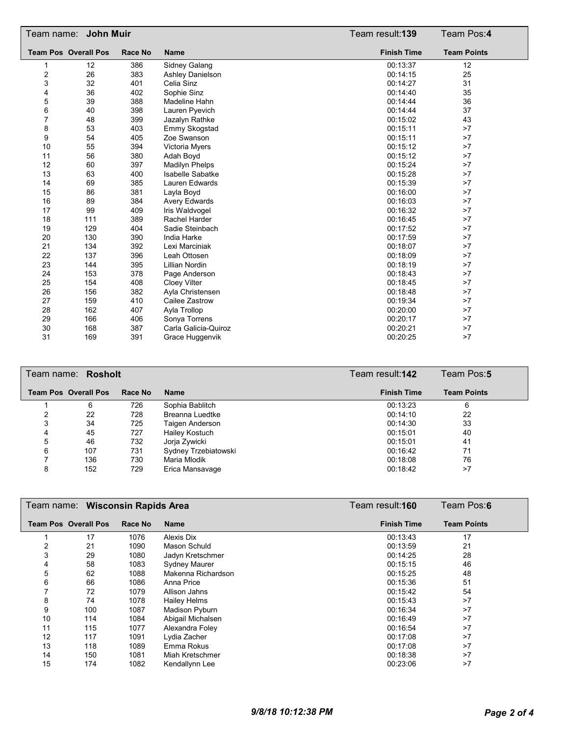|                  | Team name: <b>John Muir</b> |                |                         | Team result:139    | Team Pos:4         |
|------------------|-----------------------------|----------------|-------------------------|--------------------|--------------------|
|                  | <b>Team Pos Overall Pos</b> | <b>Race No</b> | <b>Name</b>             | <b>Finish Time</b> | <b>Team Points</b> |
| 1                | 12                          | 386            | Sidney Galang           | 00:13:37           | 12                 |
| $\boldsymbol{2}$ | 26                          | 383            | <b>Ashley Danielson</b> | 00:14:15           | 25                 |
| 3                | 32                          | 401            | Celia Sinz              | 00:14:27           | 31                 |
| 4                | 36                          | 402            | Sophie Sinz             | 00:14:40           | 35                 |
| 5                | 39                          | 388            | Madeline Hahn           | 00:14:44           | 36                 |
| 6                | 40                          | 398            | Lauren Pyevich          | 00:14:44           | 37                 |
| $\overline{7}$   | 48                          | 399            | Jazalyn Rathke          | 00:15:02           | 43                 |
| 8                | 53                          | 403            | Emmy Skogstad           | 00:15:11           | >7                 |
| 9                | 54                          | 405            | Zoe Swanson             | 00:15:11           | >7                 |
| 10               | 55                          | 394            | Victoria Myers          | 00:15:12           | >7                 |
| 11               | 56                          | 380            | Adah Boyd               | 00:15:12           | >7                 |
| 12               | 60                          | 397            | <b>Madilyn Phelps</b>   | 00:15:24           | >7                 |
| 13               | 63                          | 400            | <b>Isabelle Sabatke</b> | 00:15:28           | >7                 |
| 14               | 69                          | 385            | Lauren Edwards          | 00:15:39           | >7                 |
| 15               | 86                          | 381            | Layla Boyd              | 00:16:00           | >7                 |
| 16               | 89                          | 384            | <b>Avery Edwards</b>    | 00:16:03           | >7                 |
| 17               | 99                          | 409            | Iris Waldvogel          | 00:16:32           | >7                 |
| 18               | 111                         | 389            | Rachel Harder           | 00:16:45           | >7                 |
| 19               | 129                         | 404            | Sadie Steinbach         | 00:17:52           | >7                 |
| 20               | 130                         | 390            | India Harke             | 00:17:59           | >7                 |
| 21               | 134                         | 392            | Lexi Marciniak          | 00:18:07           | >7                 |
| 22               | 137                         | 396            | Leah Ottosen            | 00:18:09           | >7                 |
| 23               | 144                         | 395            | <b>Lillian Nordin</b>   | 00:18:19           | >7                 |
| 24               | 153                         | 378            | Page Anderson           | 00:18:43           | >7                 |
| 25               | 154                         | 408            | <b>Cloey Vilter</b>     | 00:18:45           | >7                 |
| 26               | 156                         | 382            | Ayla Christensen        | 00:18:48           | >7                 |
| 27               | 159                         | 410            | Cailee Zastrow          | 00:19:34           | >7                 |
| 28               | 162                         | 407            | Ayla Trollop            | 00:20:00           | >7                 |
| 29               | 166                         | 406            | Sonya Torrens           | 00:20:17           | >7                 |
| 30               | 168                         | 387            | Carla Galicia-Quiroz    | 00:20:21           | >7                 |
| 31               | 169                         | 391            | Grace Huggenvik         | 00:20:25           | >7                 |

|   | Team name: Rosholt          |         |                      | Team result: <b>142</b> | Team Pos:5         |
|---|-----------------------------|---------|----------------------|-------------------------|--------------------|
|   | <b>Team Pos Overall Pos</b> | Race No | <b>Name</b>          | <b>Finish Time</b>      | <b>Team Points</b> |
|   | 6                           | 726     | Sophia Bablitch      | 00:13:23                | 6                  |
|   | 22                          | 728     | Breanna Luedtke      | 00:14:10                | 22                 |
| 3 | 34                          | 725     | Taigen Anderson      | 00:14:30                | 33                 |
| 4 | 45                          | 727     | Hailey Kostuch       | 00:15:01                | 40                 |
| 5 | 46                          | 732     | Jorja Zywicki        | 00:15:01                | 41                 |
| 6 | 107                         | 731     | Sydney Trzebiatowski | 00:16:42                | 71                 |
|   | 136                         | 730     | Maria Mlodik         | 00:18:08                | 76                 |
| 8 | 152                         | 729     | Erica Mansavage      | 00:18:42                | >7                 |

|    | Team name: Wisconsin Rapids Area |         |                      | Team result:160    | Team Pos:6         |
|----|----------------------------------|---------|----------------------|--------------------|--------------------|
|    | <b>Team Pos Overall Pos</b>      | Race No | <b>Name</b>          | <b>Finish Time</b> | <b>Team Points</b> |
|    | 17                               | 1076    | Alexis Dix           | 00:13:43           | 17                 |
| 2  | 21                               | 1090    | Mason Schuld         | 00:13:59           | 21                 |
| 3  | 29                               | 1080    | Jadyn Kretschmer     | 00:14:25           | 28                 |
| 4  | 58                               | 1083    | <b>Sydney Maurer</b> | 00:15:15           | 46                 |
| 5  | 62                               | 1088    | Makenna Richardson   | 00:15:25           | 48                 |
| 6  | 66                               | 1086    | Anna Price           | 00:15:36           | 51                 |
|    | 72                               | 1079    | Allison Jahns        | 00:15:42           | 54                 |
| 8  | 74                               | 1078    | <b>Hailey Helms</b>  | 00:15:43           | >7                 |
| 9  | 100                              | 1087    | Madison Pyburn       | 00:16:34           | >7                 |
| 10 | 114                              | 1084    | Abigail Michalsen    | 00:16:49           | >7                 |
| 11 | 115                              | 1077    | Alexandra Foley      | 00:16:54           | >7                 |
| 12 | 117                              | 1091    | Lydia Zacher         | 00:17:08           | >7                 |
| 13 | 118                              | 1089    | Emma Rokus           | 00:17:08           | >7                 |
| 14 | 150                              | 1081    | Miah Kretschmer      | 00:18:38           | >7                 |
| 15 | 174                              | 1082    | Kendallynn Lee       | 00:23:06           | >7                 |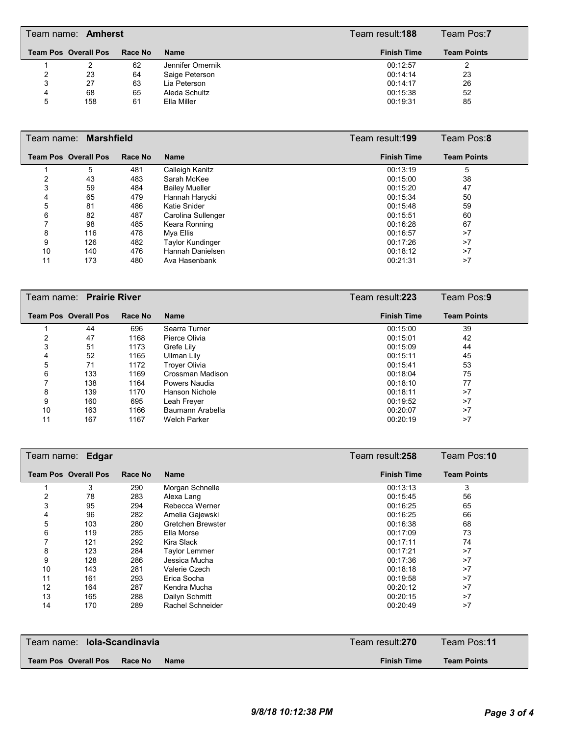|   | Team name: <b>Amherst</b>   |         |                  | Team result: <b>188</b> | Team Pos:7         |  |
|---|-----------------------------|---------|------------------|-------------------------|--------------------|--|
|   | <b>Team Pos Overall Pos</b> | Race No | <b>Name</b>      | <b>Finish Time</b>      | <b>Team Points</b> |  |
|   |                             | 62      | Jennifer Omernik | 00:12:57                |                    |  |
|   | 23                          | 64      | Saige Peterson   | 00:14:14                | 23                 |  |
| 3 | 27                          | 63      | Lia Peterson     | 00:14:17                | 26                 |  |
| 4 | 68                          | 65      | Aleda Schultz    | 00:15:38                | 52                 |  |
| 5 | 158                         | 61      | Ella Miller      | 00:19:31                | 85                 |  |

|    | Team name: Marshfield       |         |                       | Team result: <b>199</b> |          | Team Pos:8         |  |
|----|-----------------------------|---------|-----------------------|-------------------------|----------|--------------------|--|
|    | <b>Team Pos Overall Pos</b> | Race No | <b>Name</b>           | <b>Finish Time</b>      |          | <b>Team Points</b> |  |
|    | 5                           | 481     | Calleigh Kanitz       |                         | 00:13:19 | 5                  |  |
| 2  | 43                          | 483     | Sarah McKee           |                         | 00:15:00 | 38                 |  |
| 3  | 59                          | 484     | <b>Bailey Mueller</b> | 00:15:20                |          | 47                 |  |
| 4  | 65                          | 479     | Hannah Harycki        | 00:15:34                |          | 50                 |  |
| 5  | 81                          | 486     | Katie Snider          | 00:15:48                |          | 59                 |  |
| 6  | 82                          | 487     | Carolina Sullenger    | 00:15:51                |          | 60                 |  |
|    | 98                          | 485     | Keara Ronning         | 00:16:28                |          | 67                 |  |
| 8  | 116                         | 478     | Mya Ellis             | 00:16:57                |          | >7                 |  |
| 9  | 126                         | 482     | Taylor Kundinger      |                         | 00:17:26 | >7                 |  |
| 10 | 140                         | 476     | Hannah Danielsen      |                         | 00:18:12 | >7                 |  |
| 11 | 173                         | 480     | Ava Hasenbank         | 00:21:31                |          | >7                 |  |

| Team name: Prairie River |                             |         |                      | Team result: <b>223</b> | Team Pos:9         |
|--------------------------|-----------------------------|---------|----------------------|-------------------------|--------------------|
|                          | <b>Team Pos Overall Pos</b> | Race No | <b>Name</b>          | <b>Finish Time</b>      | <b>Team Points</b> |
|                          | 44                          | 696     | Searra Turner        | 00:15:00                | 39                 |
| 2                        | 47                          | 1168    | Pierce Olivia        | 00:15:01                | 42                 |
| 3                        | 51                          | 1173    | Grefe Lily           | 00:15:09                | 44                 |
| 4                        | 52                          | 1165    | Ullman Lily          | 00:15:11                | 45                 |
| 5                        | 71                          | 1172    | <b>Trover Olivia</b> | 00:15:41                | 53                 |
| 6                        | 133                         | 1169    | Crossman Madison     | 00:18:04                | 75                 |
| 7                        | 138                         | 1164    | Powers Naudia        | 00:18:10                | 77                 |
| 8                        | 139                         | 1170    | Hanson Nichole       | 00:18:11                | >7                 |
| 9                        | 160                         | 695     | Leah Freyer          | 00:19:52                | >7                 |
| 10                       | 163                         | 1166    | Baumann Arabella     | 00:20:07                | >7                 |
| 11                       | 167                         | 1167    | <b>Welch Parker</b>  | 00:20:19                | >7                 |

|    | Team name: Edgar            |         |                         | Team result:258    | Team Pos:10        |
|----|-----------------------------|---------|-------------------------|--------------------|--------------------|
|    | <b>Team Pos Overall Pos</b> | Race No | <b>Name</b>             | <b>Finish Time</b> | <b>Team Points</b> |
|    | 3                           | 290     | Morgan Schnelle         | 00:13:13           | 3                  |
|    | 78                          | 283     | Alexa Lang              | 00:15:45           | 56                 |
| 3  | 95                          | 294     | Rebecca Werner          | 00:16:25           | 65                 |
| 4  | 96                          | 282     | Amelia Gajewski         | 00:16:25           | 66                 |
| 5  | 103                         | 280     | Gretchen Brewster       | 00:16:38           | 68                 |
| 6  | 119                         | 285     | Ella Morse              | 00:17:09           | 73                 |
|    | 121                         | 292     | Kira Slack              | 00:17:11           | 74                 |
| 8  | 123                         | 284     | <b>Taylor Lemmer</b>    | 00:17:21           | >7                 |
| 9  | 128                         | 286     | Jessica Mucha           | 00:17:36           | >7                 |
| 10 | 143                         | 281     | Valerie Czech           | 00:18:18           | >7                 |
| 11 | 161                         | 293     | Erica Socha             | 00:19:58           | >7                 |
| 12 | 164                         | 287     | Kendra Mucha            | 00:20:12           | >7                 |
| 13 | 165                         | 288     | Dailyn Schmitt          | 00:20:15           | >7                 |
| 14 | 170                         | 289     | <b>Rachel Schneider</b> | 00:20:49           | >7                 |

| Team name: lola-Scandinavia                           | Team result: <b>270</b> | Team Pos:11        |
|-------------------------------------------------------|-------------------------|--------------------|
| <b>Team Pos Overall Pos</b><br>Race No<br><b>Name</b> | <b>Finish Time</b>      | <b>Team Points</b> |